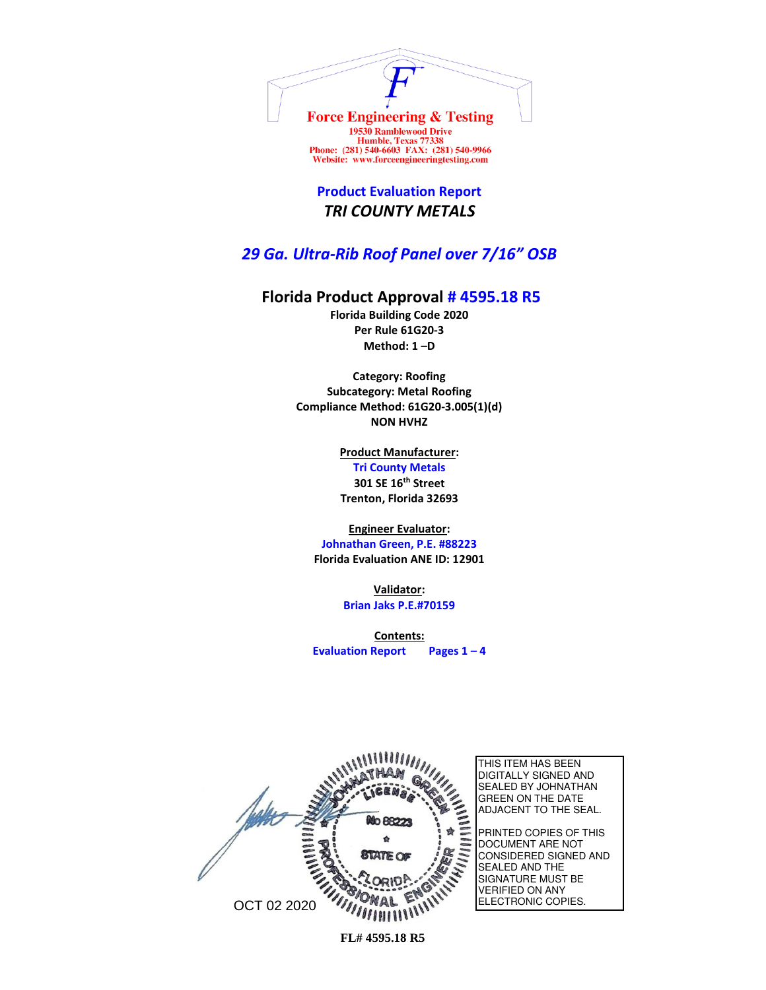

Humble, Texas 77338<br>Phone: (281) 540-6603 FAX: (281) 540-9966 Website: www.forceengineeringtesting.com

**Product Evaluation Report** *TRI COUNTY METALS*

*29 Ga. Ultra-Rib Roof Panel over 7/16" OSB*

## **Florida Product Approval # 4595.18 R5**

**Florida Building Code 2020 Per Rule 61G20-3 Method: 1 –D** 

**Category: Roofing Subcategory: Metal Roofing Compliance Method: 61G20-3.005(1)(d) NON HVHZ**

> **Product Manufacturer: Tri County Metals 301 SE 16th Street Trenton, Florida 32693**

**Engineer Evaluator:**

**Johnathan Green, P.E. #88223 Florida Evaluation ANE ID: 12901**

> **Validator: Brian Jaks P.E.#70159**

**Contents: Evaluation Report Pages 1 – 4**

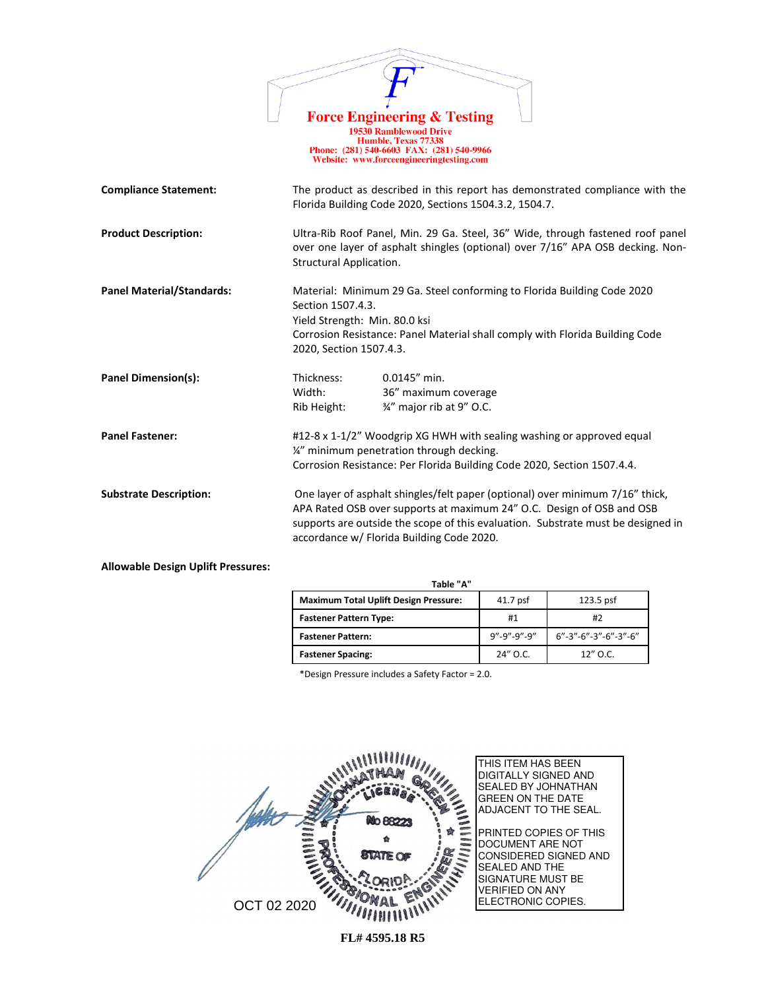|                                  | <b>Force Engineering &amp; Testing</b><br><b>19530 Ramblewood Drive</b><br>Humble, Texas 77338<br>Phone: (281) 540-6603 FAX: (281) 540-9966<br>Website: www.forceengineeringtesting.com                                                                                                 |
|----------------------------------|-----------------------------------------------------------------------------------------------------------------------------------------------------------------------------------------------------------------------------------------------------------------------------------------|
| <b>Compliance Statement:</b>     | The product as described in this report has demonstrated compliance with the<br>Florida Building Code 2020, Sections 1504.3.2, 1504.7.                                                                                                                                                  |
| <b>Product Description:</b>      | Ultra-Rib Roof Panel, Min. 29 Ga. Steel, 36" Wide, through fastened roof panel<br>over one layer of asphalt shingles (optional) over 7/16" APA OSB decking. Non-<br><b>Structural Application.</b>                                                                                      |
| <b>Panel Material/Standards:</b> | Material: Minimum 29 Ga. Steel conforming to Florida Building Code 2020<br>Section 1507.4.3.<br>Yield Strength: Min. 80.0 ksi<br>Corrosion Resistance: Panel Material shall comply with Florida Building Code<br>2020, Section 1507.4.3.                                                |
| Panel Dimension(s):              | Thickness:<br>$0.0145''$ min.<br>Width:<br>36" maximum coverage<br>3/4" major rib at 9" O.C.<br>Rib Height:                                                                                                                                                                             |
| <b>Panel Fastener:</b>           | #12-8 x 1-1/2" Woodgrip XG HWH with sealing washing or approved equal<br>1/4" minimum penetration through decking.<br>Corrosion Resistance: Per Florida Building Code 2020, Section 1507.4.4.                                                                                           |
| <b>Substrate Description:</b>    | One layer of asphalt shingles/felt paper (optional) over minimum 7/16" thick,<br>APA Rated OSB over supports at maximum 24" O.C. Design of OSB and OSB<br>supports are outside the scope of this evaluation. Substrate must be designed in<br>accordance w/ Florida Building Code 2020. |

**Allowable Design Uplift Pressures:**

| Table "A"                                    |                         |                                    |  |
|----------------------------------------------|-------------------------|------------------------------------|--|
| <b>Maximum Total Uplift Design Pressure:</b> | $41.7$ psf              | $123.5$ psf                        |  |
| <b>Fastener Pattern Type:</b>                | #1                      | #2                                 |  |
| <b>Fastener Pattern:</b>                     | $9'' - 9'' - 9'' - 9''$ | $6" - 3" - 6" - 3" - 6" - 3" - 6"$ |  |
| <b>Fastener Spacing:</b>                     | 24" O.C.                | $12''$ O.C.                        |  |

\*Design Pressure includes a Safety Factor = 2.0.

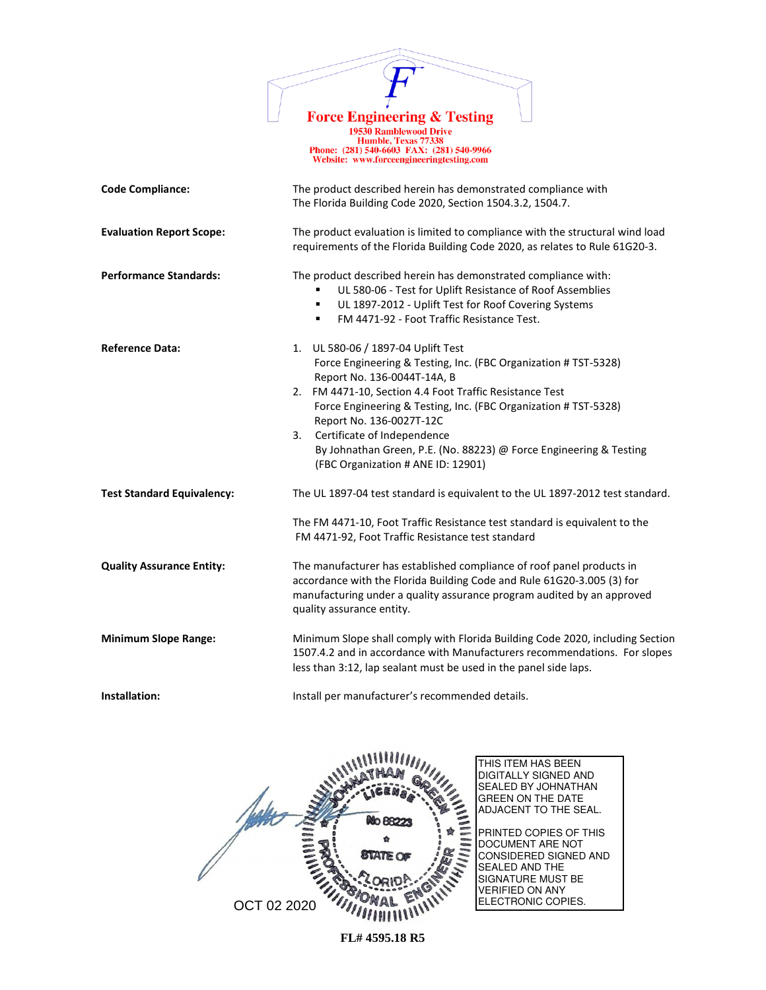

1978 Ramblewood Drive<br>
19530 Ramblewood Drive<br>
Humble, Texas 77338<br>
Phone: (281) 540-6603 FAX: (281) 540-9966<br>
Website: www.forceengineeringtesting.com

| <b>Code Compliance:</b>           | The product described herein has demonstrated compliance with                                                                                                                                                                                                                                                                                                                                                                                   |  |
|-----------------------------------|-------------------------------------------------------------------------------------------------------------------------------------------------------------------------------------------------------------------------------------------------------------------------------------------------------------------------------------------------------------------------------------------------------------------------------------------------|--|
|                                   | The Florida Building Code 2020, Section 1504.3.2, 1504.7.                                                                                                                                                                                                                                                                                                                                                                                       |  |
| <b>Evaluation Report Scope:</b>   | The product evaluation is limited to compliance with the structural wind load<br>requirements of the Florida Building Code 2020, as relates to Rule 61G20-3.                                                                                                                                                                                                                                                                                    |  |
| <b>Performance Standards:</b>     | The product described herein has demonstrated compliance with:<br>UL 580-06 - Test for Uplift Resistance of Roof Assemblies<br>UL 1897-2012 - Uplift Test for Roof Covering Systems<br>٠<br>FM 4471-92 - Foot Traffic Resistance Test.<br>٠                                                                                                                                                                                                     |  |
| <b>Reference Data:</b>            | 1. UL 580-06 / 1897-04 Uplift Test<br>Force Engineering & Testing, Inc. (FBC Organization # TST-5328)<br>Report No. 136-0044T-14A, B<br>2. FM 4471-10, Section 4.4 Foot Traffic Resistance Test<br>Force Engineering & Testing, Inc. (FBC Organization # TST-5328)<br>Report No. 136-0027T-12C<br>Certificate of Independence<br>3.<br>By Johnathan Green, P.E. (No. 88223) @ Force Engineering & Testing<br>(FBC Organization # ANE ID: 12901) |  |
| <b>Test Standard Equivalency:</b> | The UL 1897-04 test standard is equivalent to the UL 1897-2012 test standard.<br>The FM 4471-10, Foot Traffic Resistance test standard is equivalent to the<br>FM 4471-92, Foot Traffic Resistance test standard                                                                                                                                                                                                                                |  |
| <b>Quality Assurance Entity:</b>  | The manufacturer has established compliance of roof panel products in<br>accordance with the Florida Building Code and Rule 61G20-3.005 (3) for<br>manufacturing under a quality assurance program audited by an approved<br>quality assurance entity.                                                                                                                                                                                          |  |
| <b>Minimum Slope Range:</b>       | Minimum Slope shall comply with Florida Building Code 2020, including Section<br>1507.4.2 and in accordance with Manufacturers recommendations. For slopes<br>less than 3:12, lap sealant must be used in the panel side laps.                                                                                                                                                                                                                  |  |
| Installation:                     | Install per manufacturer's recommended details.                                                                                                                                                                                                                                                                                                                                                                                                 |  |

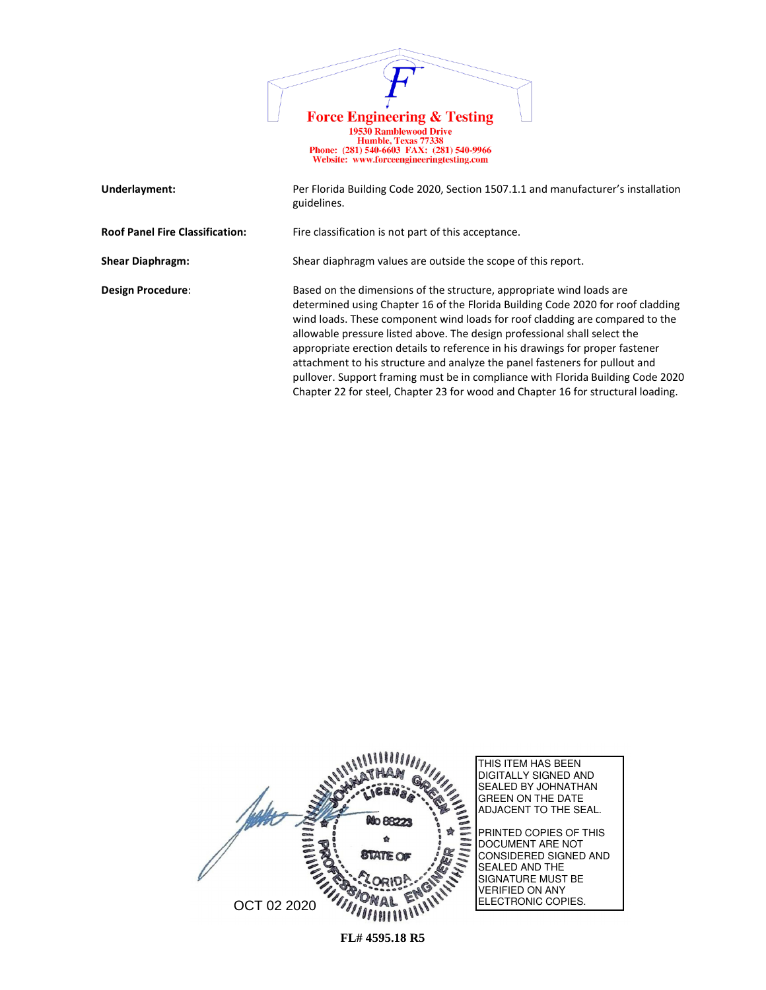

| Underlayment:                          | Per Florida Building Code 2020, Section 1507.1.1 and manufacturer's installation<br>guidelines.                                                                                                                                                                                                                                                                                                                                                                                                                                                                                                                                                             |
|----------------------------------------|-------------------------------------------------------------------------------------------------------------------------------------------------------------------------------------------------------------------------------------------------------------------------------------------------------------------------------------------------------------------------------------------------------------------------------------------------------------------------------------------------------------------------------------------------------------------------------------------------------------------------------------------------------------|
| <b>Roof Panel Fire Classification:</b> | Fire classification is not part of this acceptance.                                                                                                                                                                                                                                                                                                                                                                                                                                                                                                                                                                                                         |
| <b>Shear Diaphragm:</b>                | Shear diaphragm values are outside the scope of this report.                                                                                                                                                                                                                                                                                                                                                                                                                                                                                                                                                                                                |
| Design Procedure:                      | Based on the dimensions of the structure, appropriate wind loads are<br>determined using Chapter 16 of the Florida Building Code 2020 for roof cladding<br>wind loads. These component wind loads for roof cladding are compared to the<br>allowable pressure listed above. The design professional shall select the<br>appropriate erection details to reference in his drawings for proper fastener<br>attachment to his structure and analyze the panel fasteners for pullout and<br>pullover. Support framing must be in compliance with Florida Building Code 2020<br>Chapter 22 for steel, Chapter 23 for wood and Chapter 16 for structural loading. |